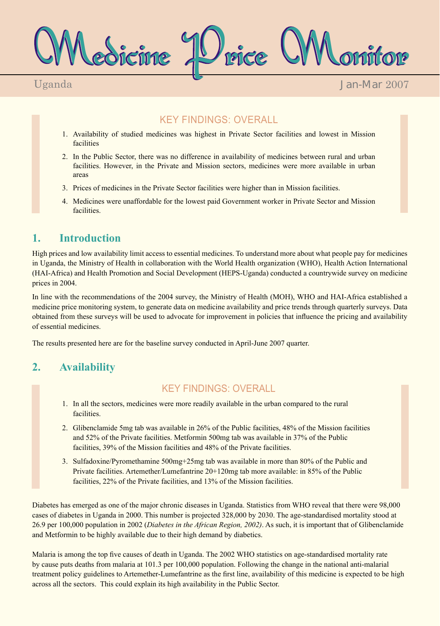Medicine Price Monitor

Uganda

Jan-Mar 2007

# KEY FINDINGS: OVERALL

- 1. Availability of studied medicines was highest in Private Sector facilities and lowest in Mission facilities
- 2. In the Public Sector, there was no difference in availability of medicines between rural and urban facilities. However, in the Private and Mission sectors, medicines were more available in urban areas
- 3. Prices of medicines in the Private Sector facilities were higher than in Mission facilities.
- 4. Medicines were unaffordable for the lowest paid Government worker in Private Sector and Mission facilities.

# **1. Introduction**

High prices and low availability limit access to essential medicines. To understand more about what people pay for medicines in Uganda, the Ministry of Health in collaboration with the World Health organization (WHO), Health Action International (HAI-Africa) and Health Promotion and Social Development (HEPS-Uganda) conducted a countrywide survey on medicine prices in 2004.

In line with the recommendations of the 2004 survey, the Ministry of Health (MOH), WHO and HAI-Africa established a medicine price monitoring system, to generate data on medicine availability and price trends through quarterly surveys. Data obtained from these surveys will be used to advocate for improvement in policies that influence the pricing and availability of essential medicines.

The results presented here are for the baseline survey conducted in April-June 2007 quarter.

# **2. Availability**

### KEY FINDINGS: OVERALL

- 1. In all the sectors, medicines were more readily available in the urban compared to the rural facilities.
- 2. Glibenclamide 5mg tab was available in 26% of the Public facilities, 48% of the Mission facilities and 52% of the Private facilities. Metformin 500mg tab was available in 37% of the Public facilities, 39% of the Mission facilities and 48% of the Private facilities.
- 3. Sulfadoxine/Pyromethamine 500mg+25mg tab was available in more than 80% of the Public and Private facilities. Artemether/Lumefantrine 20+120mg tab more available: in 85% of the Public facilities, 22% of the Private facilities, and 13% of the Mission facilities.

Diabetes has emerged as one of the major chronic diseases in Uganda. Statistics from WHO reveal that there were 98,000 cases of diabetes in Uganda in 2000. This number is projected 328,000 by 2030. The age-standardised mortality stood at 26.9 per 100,000 population in 2002 (*Diabetes in the African Region, 2002)*. As such, it is important that of Glibenclamide and Metformin to be highly available due to their high demand by diabetics.

Malaria is among the top five causes of death in Uganda. The 2002 WHO statistics on age-standardised mortality rate by cause puts deaths from malaria at 101.3 per 100,000 population. Following the change in the national anti-malarial treatment policy guidelines to Artemether-Lumefantrine as the first line, availability of this medicine is expected to be high across all the sectors. This could explain its high availability in the Public Sector.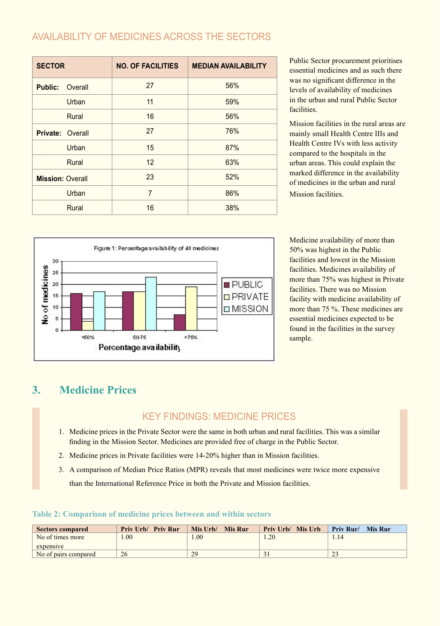## AVAILABILITY OF MEDICINES ACROSS THE SECTORS

| <b>SECTOR</b>             | <b>NO. OF FACILITIES</b> | <b>MEDIAN AVAILABILITY</b> |
|---------------------------|--------------------------|----------------------------|
| Overall<br><b>Public:</b> | 27                       | 56%                        |
| Urban                     | 11                       | 59%                        |
| Rural                     | 16                       | 56%                        |
| <b>Private: Overall</b>   | 27                       | 76%                        |
| Urban                     | 15                       | 87%                        |
| Rural                     | 12                       | 63%                        |
| <b>Mission: Overall</b>   | 23                       | 52%                        |
| Urban                     | 7                        | 86%                        |
| Rural                     | 16                       | 38%                        |

Public Sector procurement prioritises essential medicines and as such there was no significant difference in the levels of availability of medicines in the urban and rural Public Sector **facilities** 

Mission facilities in the rural areas are mainly small Health Centre IIIs and Health Centre IVs with less activity compared to the hospitals in the urban areas. This could explain the marked difference in the availability of medicines in the urban and rural Mission facilities.



Medicine availability of more than 50% was highest in the Public facilities and lowest in the Mission facilities. Medicines availability of more than 75% was highest in Private facilities. There was no Mission facility with medicine availability of more than 75 %. These medicines are essential medicines expected to be found in the facilities in the survey sample.

# **3. Medicine Prices**

### KEY FINDINGS: MEDICINE PRICES

- 1. Medicine prices in the Private Sector were the same in both urban and rural facilities. This was a similar finding in the Mission Sector. Medicines are provided free of charge in the Public Sector.
- 2. Medicine prices in Private facilities were 14-20% higher than in Mission facilities.
- 3. A comparison of Median Price Ratios (MPR) reveals that most medicines were twice more expensive than the International Reference Price in both the Private and Mission facilities.

#### **Table 2: Comparison of medicine prices between and within sectors**

| <b>Sectors compared</b> | <b>Priv Urb/ Priv Rur</b> | Mis Urb/<br><b>Mis Rur</b> | <b>Priv Urb/ Mis Urb</b> | <b>Priv Rur/</b><br><b>Mis Rur</b> |
|-------------------------|---------------------------|----------------------------|--------------------------|------------------------------------|
| No of times more        | .00                       | .00                        | .20                      | 1.14                               |
| expensive               |                           |                            |                          |                                    |
| No of pairs compared    | 26                        | 29                         |                          | $\gamma$<br><u>.</u>               |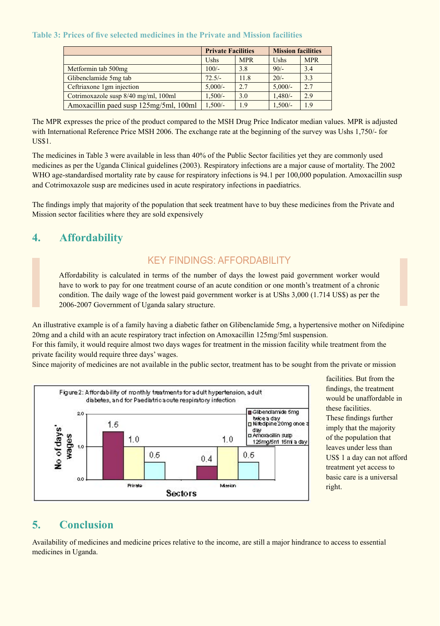#### **Table 3: Prices of five selected medicines in the Private and Mission facilities**

|                                        | <b>Private Facilities</b> |            | <b>Mission facilities</b> |            |
|----------------------------------------|---------------------------|------------|---------------------------|------------|
|                                        | <b>Ushs</b>               | <b>MPR</b> | Ushs                      | <b>MPR</b> |
| Metformin tab 500mg                    | $100/-$                   | 3.8        | $90/-$                    | 3.4        |
| Glibenclamide 5mg tab                  | $72.5/-$                  | 11.8       | $20/-$                    | 3.3        |
| Ceftriaxone 1gm injection              | $5,000/-$                 | 2.7        | $5,000/-$                 | 2.7        |
| Cotrimoxazole susp 8/40 mg/ml, 100ml   | $1,500/-$                 | 3.0        | $1,480/-$                 | 2.9        |
| Amoxacillin paed susp 125mg/5ml, 100ml | $1,500/-$                 | 1.9        | $1,500/-$                 | 1.9        |

The MPR expresses the price of the product compared to the MSH Drug Price Indicator median values. MPR is adjusted with International Reference Price MSH 2006. The exchange rate at the beginning of the survey was Ushs 1,750/- for US\$1.

The medicines in Table 3 were available in less than 40% of the Public Sector facilities yet they are commonly used medicines as per the Uganda Clinical guidelines (2003). Respiratory infections are a major cause of mortality. The 2002 WHO age-standardised mortality rate by cause for respiratory infections is 94.1 per 100,000 population. Amoxacillin susp and Cotrimoxazole susp are medicines used in acute respiratory infections in paediatrics.

The findings imply that majority of the population that seek treatment have to buy these medicines from the Private and Mission sector facilities where they are sold expensively

# **4. Affordability**

### KEY FINDINGS: AFFORDABILITY

Affordability is calculated in terms of the number of days the lowest paid government worker would have to work to pay for one treatment course of an acute condition or one month's treatment of a chronic condition. The daily wage of the lowest paid government worker is at UShs 3,000 (1.714 US\$) as per the 2006-2007 Government of Uganda salary structure.

An illustrative example is of a family having a diabetic father on Glibenclamide 5mg, a hypertensive mother on Nifedipine 20mg and a child with an acute respiratory tract infection on Amoxacillin 125mg/5ml suspension.

For this family, it would require almost two days wages for treatment in the mission facility while treatment from the private facility would require three days' wages.

Since majority of medicines are not available in the public sector, treatment has to be sought from the private or mission



facilities. But from the findings, the treatment would be unaffordable in these facilities. These findings further imply that the majority of the population that leaves under less than US\$ 1 a day can not afford treatment yet access to basic care is a universal right.

### **5. Conclusion**

Availability of medicines and medicine prices relative to the income, are still a major hindrance to access to essential medicines in Uganda.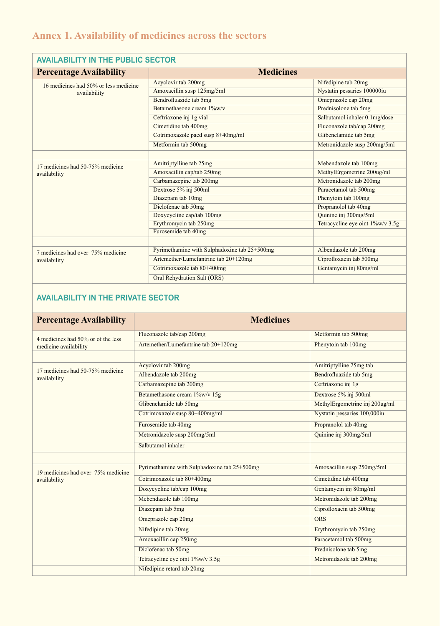# **Annex 1. Availability of medicines across the sectors**

| <b>AVAILABILITY IN THE PUBLIC SECTOR</b> |                                              |                                  |  |  |
|------------------------------------------|----------------------------------------------|----------------------------------|--|--|
| <b>Percentage Availability</b>           | <b>Medicines</b>                             |                                  |  |  |
| 16 medicines had 50% or less medicine    | Acyclovir tab 200mg                          | Nifedipine tab 20mg              |  |  |
| availability                             | Amoxacillin susp 125mg/5ml                   | Nystatin pessaries 100000iu      |  |  |
|                                          | Bendrofluazide tab 5mg                       | Omeprazole cap 20mg              |  |  |
|                                          | Betamethasone cream 1%w/v                    | Prednisolone tab 5mg             |  |  |
|                                          | Ceftriaxone inj 1g vial                      | Salbutamol inhaler 0.1mg/dose    |  |  |
|                                          | Cimetidine tab 400mg                         | Fluconazole tab/cap 200mg        |  |  |
|                                          | Cotrimoxazole paed susp 8+40mg/ml            | Glibenclamide tab 5mg            |  |  |
|                                          | Metformin tab 500mg                          | Metronidazole susp 200mg/5ml     |  |  |
|                                          |                                              |                                  |  |  |
| 17 medicines had 50-75% medicine         | Amitriptylline tab 25mg                      | Mebendazole tab 100mg            |  |  |
| availability                             | Amoxacillin cap/tab 250mg                    | MethylErgometrine 200ug/ml       |  |  |
|                                          | Carbamazepine tab 200mg                      | Metronidazole tab 200mg          |  |  |
|                                          | Dextrose 5% inj 500ml                        | Paracetamol tab 500mg            |  |  |
|                                          | Diazepam tab 10mg                            | Phenytoin tab 100mg              |  |  |
|                                          | Diclofenac tab 50mg                          | Propranolol tab 40mg             |  |  |
|                                          | Doxycycline cap/tab 100mg                    | Quinine inj 300mg/5ml            |  |  |
|                                          | Erythromycin tab 250mg                       | Tetracycline eye oint 1%w/v 3.5g |  |  |
|                                          | Furosemide tab 40mg                          |                                  |  |  |
|                                          |                                              |                                  |  |  |
| 7 medicines had over 75% medicine        | Pyrimethamine with Sulphadoxine tab 25+500mg | Albendazole tab 200mg            |  |  |
| availability                             | Artemether/Lumefantrine tab 20+120mg         | Ciprofloxacin tab 500mg          |  |  |
|                                          | Cotrimoxazole tab 80+400mg                   | Gentamycin inj 80mg/ml           |  |  |
|                                          | Oral Rehydration Salt (ORS)                  |                                  |  |  |

### **AVAILABILITY IN THE PRIVATE SECTOR**

# **Percentage Availability Medicines**

| Percentage Availability            | <b>Medicines</b>                             |                                |  |
|------------------------------------|----------------------------------------------|--------------------------------|--|
| 4 medicines had 50% or of the less | Fluconazole tab/cap 200mg                    | Metformin tab 500mg            |  |
| medicine availability              | Artemether/Lumefantrine tab 20+120mg         | Phenytoin tab 100mg            |  |
|                                    |                                              |                                |  |
| 17 medicines had 50-75% medicine   | Acyclovir tab 200mg                          | Amitriptylline 25mg tab        |  |
| availability                       | Albendazole tab 200mg                        | Bendrofluazide tab 5mg         |  |
|                                    | Carbamazepine tab 200mg                      | Ceftriaxone inj 1g             |  |
|                                    | Betamethasone cream 1%w/v 15g                | Dextrose 5% inj 500ml          |  |
|                                    | Glibenclamide tab 50mg                       | MethylErgometrine inj 200ug/ml |  |
|                                    | Cotrimoxazole susp 80+400mg/ml               | Nystatin pessaries 100,000iu   |  |
|                                    | Furosemide tab 40mg                          | Propranolol tab 40mg           |  |
|                                    | Metronidazole susp 200mg/5ml                 | Quinine inj 300mg/5ml          |  |
|                                    | Salbutamol inhaler                           |                                |  |
|                                    |                                              |                                |  |
| 19 medicines had over 75% medicine | Pyrimethamine with Sulphadoxine tab 25+500mg | Amoxacillin susp 250mg/5ml     |  |
| availability                       | Cotrimoxazole tab 80+400mg                   | Cimetidine tab 400mg           |  |
|                                    | Doxycycline tab/cap 100mg                    | Gentamycin inj 80mg/ml         |  |
|                                    | Mebendazole tab 100mg                        | Metronidazole tab 200mg        |  |
|                                    | Diazepam tab 5mg                             | Ciprofloxacin tab 500mg        |  |
|                                    | Omeprazole cap 20mg                          | <b>ORS</b>                     |  |
|                                    | Nifedipine tab 20mg                          | Erythromycin tab 250mg         |  |
|                                    | Amoxacillin cap 250mg                        | Paracetamol tab 500mg          |  |
|                                    | Diclofenac tab 50mg                          | Prednisolone tab 5mg           |  |
|                                    | Tetracycline eye oint 1%w/v 3.5g             | Metronidazole tab 200mg        |  |
|                                    | Nifedipine retard tab 20mg                   |                                |  |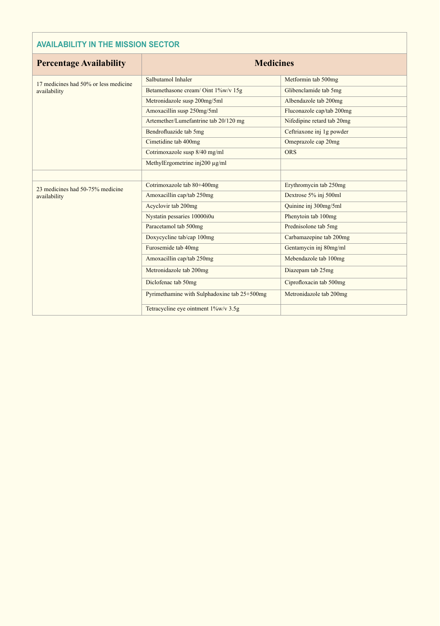### **AVAILABILITY IN THE MISSION SECTOR**

| <b>Percentage Availability</b>                        | <b>Medicines</b>                             |                            |  |  |
|-------------------------------------------------------|----------------------------------------------|----------------------------|--|--|
| 17 medicines had 50% or less medicine<br>availability | Salbutamol Inhaler                           | Metformin tab 500mg        |  |  |
|                                                       | Betamethasone cream/Oint 1%w/v 15g           | Glibenclamide tab 5mg      |  |  |
|                                                       | Metronidazole susp 200mg/5ml                 | Albendazole tab 200mg      |  |  |
|                                                       | Amoxacillin susp 250mg/5ml                   | Fluconazole cap/tab 200mg  |  |  |
|                                                       | Artemether/Lumefantrine tab 20/120 mg        | Nifedipine retard tab 20mg |  |  |
|                                                       | Bendrofluazide tab 5mg                       | Ceftriaxone inj 1g powder  |  |  |
|                                                       | Cimetidine tab 400mg                         | Omeprazole cap 20mg        |  |  |
|                                                       | Cotrimoxazole susp 8/40 mg/ml                | <b>ORS</b>                 |  |  |
|                                                       | MethylErgometrine inj200 µg/ml               |                            |  |  |
|                                                       |                                              |                            |  |  |
| 23 medicines had 50-75% medicine                      | Cotrimoxazole tab 80+400mg                   | Erythromycin tab 250mg     |  |  |
| availability                                          | Amoxacillin cap/tab 250mg                    | Dextrose 5% inj 500ml      |  |  |
|                                                       | Acyclovir tab 200mg                          | Quinine inj 300mg/5ml      |  |  |
|                                                       | Nystatin pessaries 10000i0u                  | Phenytoin tab 100mg        |  |  |
|                                                       | Paracetamol tab 500mg                        | Prednisolone tab 5mg       |  |  |
|                                                       | Doxycycline tab/cap 100mg                    | Carbamazepine tab 200mg    |  |  |
|                                                       | Furosemide tab 40mg                          | Gentamycin inj 80mg/ml     |  |  |
|                                                       | Amoxacillin cap/tab 250mg                    | Mebendazole tab 100mg      |  |  |
|                                                       | Metronidazole tab 200mg                      | Diazepam tab 25mg          |  |  |
|                                                       | Diclofenac tab 50mg                          | Ciprofloxacin tab 500mg    |  |  |
|                                                       | Pyrimethamine with Sulphadoxine tab 25+500mg | Metronidazole tab 200mg    |  |  |
|                                                       | Tetracycline eye ointment 1%w/v 3.5g         |                            |  |  |